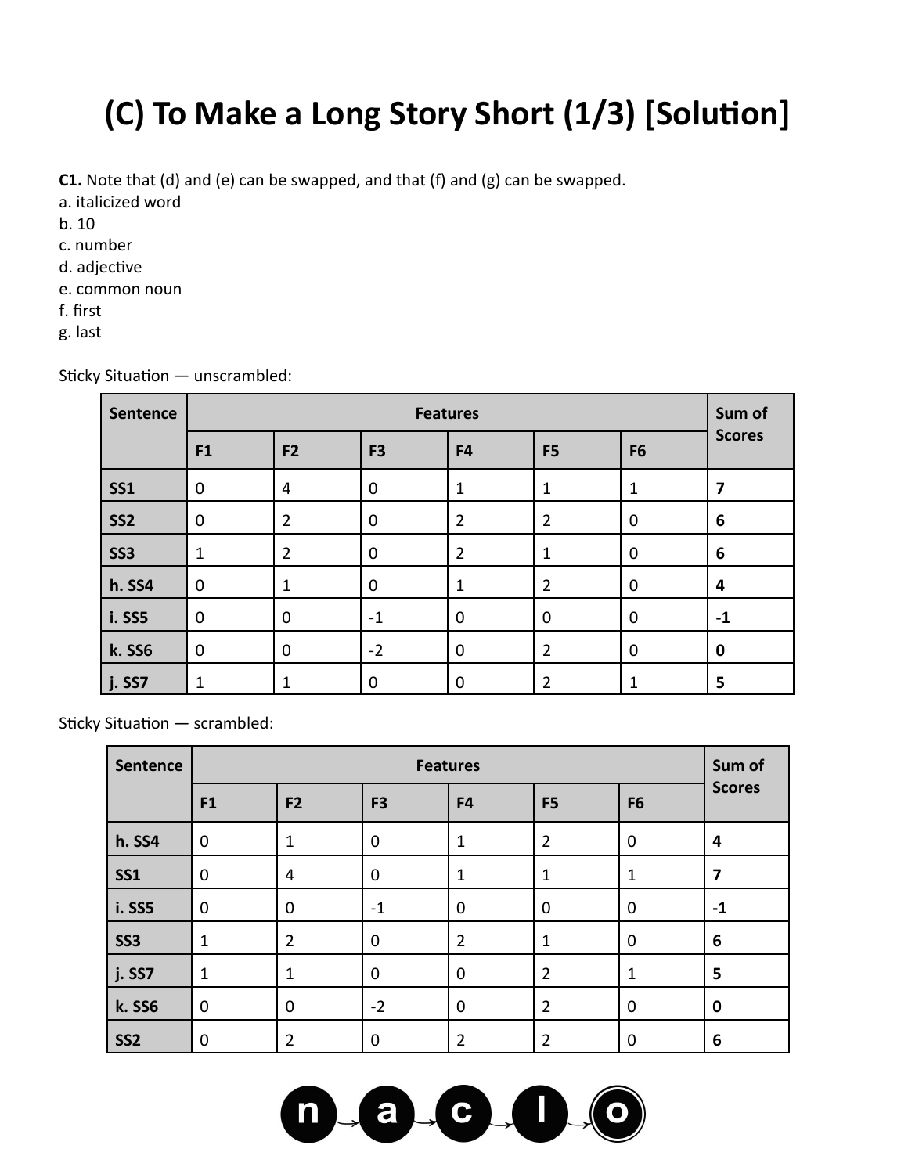# **(C) To Make a Long Story Short (1/3) [Solution]**

**C1.** Note that (d) and (e) can be swapped, and that (f) and (g) can be swapped.

- a. italicized word
- b. 10
- c. number
- d. adjective
- e. common noun
- f. first
- g. last

| Sentence   | <b>Features</b> |                |                |                |                |                | Sum of        |
|------------|-----------------|----------------|----------------|----------------|----------------|----------------|---------------|
|            | F <sub>1</sub>  | F <sub>2</sub> | F <sub>3</sub> | F4             | F <sub>5</sub> | F <sub>6</sub> | <b>Scores</b> |
| <b>SS1</b> | $\mathbf 0$     | 4              | $\mathbf 0$    | 1              | 1              | $\mathbf 1$    | 7             |
| <b>SS2</b> | $\mathbf 0$     | $\overline{2}$ | $\mathbf 0$    | $\overline{2}$ | $\overline{2}$ | $\mathbf 0$    | 6             |
| <b>SS3</b> | $\mathbf{1}$    | $\overline{2}$ | $\mathbf 0$    | $\overline{2}$ | 1              | $\mathbf 0$    | 6             |
| h. SS4     | $\mathbf 0$     | $\mathbf 1$    | $\mathbf 0$    | 1              | $\overline{2}$ | $\mathbf 0$    | 4             |
| i. SS5     | $\mathbf 0$     | $\mathbf 0$    | $-1$           | $\mathbf 0$    | $\mathbf 0$    | $\mathbf 0$    | $-1$          |
| k. SS6     | $\mathbf 0$     | $\mathbf 0$    | $-2$           | $\mathbf 0$    | $\overline{2}$ | $\mathbf 0$    | 0             |
| j. SS7     | 1               | 1              | $\mathbf 0$    | $\mathbf 0$    | $\overline{2}$ | 1              | 5             |

Sticky Situation — unscrambled:

Sticky Situation — scrambled:

| Sentence        | <b>Features</b> |                |                |                |                |                | Sum of        |
|-----------------|-----------------|----------------|----------------|----------------|----------------|----------------|---------------|
|                 | F <sub>1</sub>  | F <sub>2</sub> | F <sub>3</sub> | F4             | F <sub>5</sub> | F <sub>6</sub> | <b>Scores</b> |
| <b>h. SS4</b>   | 0               | 1              | 0              | $\mathbf{1}$   | $\overline{2}$ | $\mathbf 0$    | 4             |
| <b>SS1</b>      | 0               | $\overline{4}$ | 0              | $\mathbf{1}$   | 1              | $\mathbf 1$    | 7             |
| <b>i. SS5</b>   | 0               | $\mathbf 0$    | $-1$           | $\mathbf 0$    | 0              | $\mathbf 0$    | $-1$          |
| <b>SS3</b>      | 1               | $\overline{2}$ | 0              | $\overline{2}$ | 1              | $\overline{0}$ | 6             |
| j. SS7          | 1               | 1              | 0              | $\mathbf 0$    | $\overline{2}$ | $\mathbf 1$    | 5             |
| k. SS6          | 0               | $\mathbf 0$    | $-2$           | $\mathbf 0$    | $\overline{2}$ | 0              | $\bf{0}$      |
| SS <sub>2</sub> | 0               | $\overline{2}$ | 0              | 2              | $\overline{2}$ | 0              | 6             |

 $a_{-}$ 

n

 $\mathbf{C}$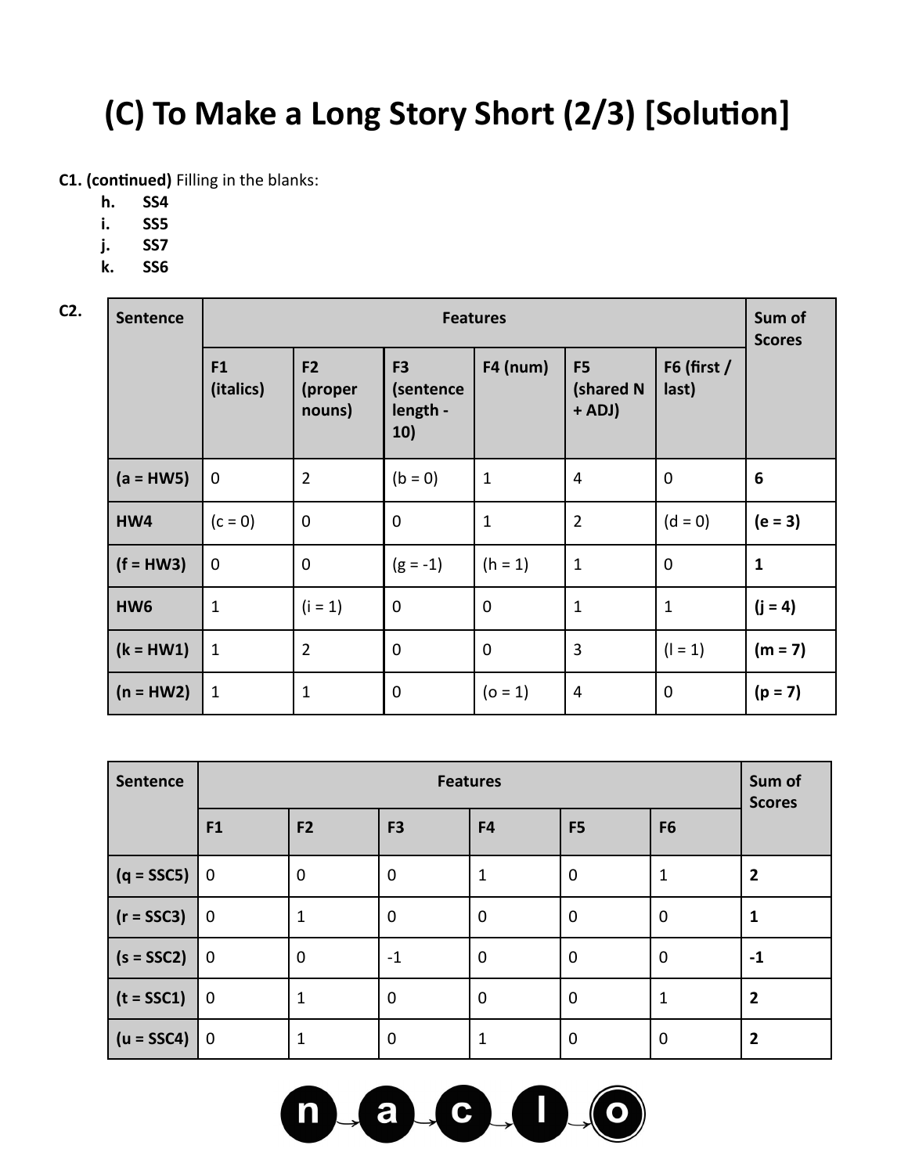## **(C) To Make a Long Story Short (2/3) [Solution]**

**C1. (continued)** Filling in the blanks:

- **h. SS4**
- **i. SS5**
- **j. SS7**
- **k. SS6**

| C2. | <b>Sentence</b> | <b>Features</b> |                                     |                                                |                 |                                         |                      |                 |  |
|-----|-----------------|-----------------|-------------------------------------|------------------------------------------------|-----------------|-----------------------------------------|----------------------|-----------------|--|
|     |                 | F1<br>(italics) | F <sub>2</sub><br>(proper<br>nouns) | F <sub>3</sub><br>(sentence<br>length -<br>10) | <b>F4 (num)</b> | F <sub>5</sub><br>(shared N<br>$+$ ADJ) | F6 (first /<br>last) | <b>Scores</b>   |  |
|     | $(a = HW5)$     | $\mathbf 0$     | $\overline{2}$                      | $(b = 0)$                                      | 1               | $\overline{4}$                          | $\mathbf 0$          | $6\phantom{1}6$ |  |
|     | HW4             | $(c = 0)$       | $\mathbf 0$                         | $\mathbf 0$                                    | $\mathbf 1$     | $\overline{2}$                          | $(d = 0)$            | $(e = 3)$       |  |
|     | $(f = HW3)$     | $\mathbf 0$     | $\mathbf 0$                         | $(g = -1)$                                     | $(h = 1)$       | $\mathbf{1}$                            | $\mathbf 0$          | $\mathbf{1}$    |  |
|     | HW <sub>6</sub> | $\mathbf{1}$    | $(i = 1)$                           | $\mathbf 0$                                    | $\mathbf 0$     | $\mathbf{1}$                            | $\mathbf{1}$         | $(j = 4)$       |  |
|     | $(k = HW1)$     | $\mathbf 1$     | $\overline{2}$                      | $\mathbf 0$                                    | $\mathbf 0$     | $\mathbf{3}$                            | $(1 = 1)$            | $(m = 7)$       |  |
|     | $(n = HW2)$     | $\mathbf{1}$    | $\mathbf{1}$                        | $\mathbf 0$                                    | $(o = 1)$       | 4                                       | $\mathbf 0$          | $(p = 7)$       |  |

| <b>Sentence</b> | <b>Features</b> |                |                |             |                |                | Sum of<br><b>Scores</b> |
|-----------------|-----------------|----------------|----------------|-------------|----------------|----------------|-------------------------|
|                 | F1              | F <sub>2</sub> | F <sub>3</sub> | F4          | F <sub>5</sub> | F <sub>6</sub> |                         |
| $(q = SSC5)$    | $\mathbf 0$     | $\mathbf 0$    | $\mathbf 0$    | 1           | $\mathbf 0$    | 1              | $\overline{2}$          |
| $(r = SSC3)$    | $\mathbf 0$     |                | $\mathbf 0$    | $\mathbf 0$ | $\mathbf 0$    | $\mathbf 0$    |                         |
| $(s = SSC2)$    | $\mathbf 0$     | $\mathbf 0$    | $-1$           | $\mathbf 0$ | $\mathbf 0$    | $\mathbf 0$    | -1                      |
| $(t = SSC1)$    | $\mathbf 0$     | 1              | $\mathbf 0$    | $\mathbf 0$ | $\mathbf 0$    | 1              | $\overline{2}$          |
| $(u = SSC4)$    | $\mathbf 0$     |                | $\mathbf 0$    | 1           | $\mathbf 0$    | $\mathbf 0$    | $\overline{2}$          |